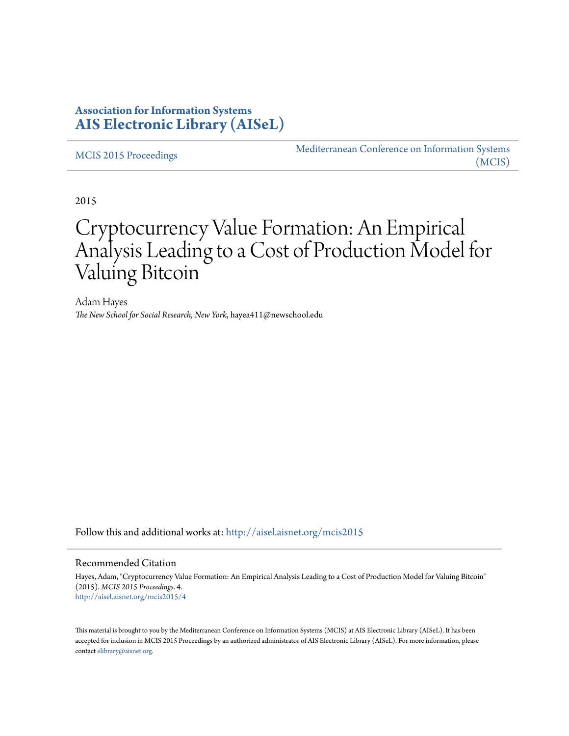### **Association for Information Systems [AIS Electronic Library \(AISeL\)](http://aisel.aisnet.org?utm_source=aisel.aisnet.org%2Fmcis2015%2F4&utm_medium=PDF&utm_campaign=PDFCoverPages)**

[MCIS 2015 Proceedings](http://aisel.aisnet.org/mcis2015?utm_source=aisel.aisnet.org%2Fmcis2015%2F4&utm_medium=PDF&utm_campaign=PDFCoverPages)

[Mediterranean Conference on Information Systems](http://aisel.aisnet.org/mcis?utm_source=aisel.aisnet.org%2Fmcis2015%2F4&utm_medium=PDF&utm_campaign=PDFCoverPages) [\(MCIS\)](http://aisel.aisnet.org/mcis?utm_source=aisel.aisnet.org%2Fmcis2015%2F4&utm_medium=PDF&utm_campaign=PDFCoverPages)

2015

# Cryptocurrency Value Formation: An Empirical Analysis Leading to a Cost of Production Model for Valuing Bitcoin

Adam Hayes *The New School for Social Research, New York*, hayea411@newschool.edu

Follow this and additional works at: [http://aisel.aisnet.org/mcis2015](http://aisel.aisnet.org/mcis2015?utm_source=aisel.aisnet.org%2Fmcis2015%2F4&utm_medium=PDF&utm_campaign=PDFCoverPages)

#### Recommended Citation

Hayes, Adam, "Cryptocurrency Value Formation: An Empirical Analysis Leading to a Cost of Production Model for Valuing Bitcoin" (2015). *MCIS 2015 Proceedings*. 4. [http://aisel.aisnet.org/mcis2015/4](http://aisel.aisnet.org/mcis2015/4?utm_source=aisel.aisnet.org%2Fmcis2015%2F4&utm_medium=PDF&utm_campaign=PDFCoverPages)

This material is brought to you by the Mediterranean Conference on Information Systems (MCIS) at AIS Electronic Library (AISeL). It has been accepted for inclusion in MCIS 2015 Proceedings by an authorized administrator of AIS Electronic Library (AISeL). For more information, please contact [elibrary@aisnet.org.](mailto:elibrary@aisnet.org%3E)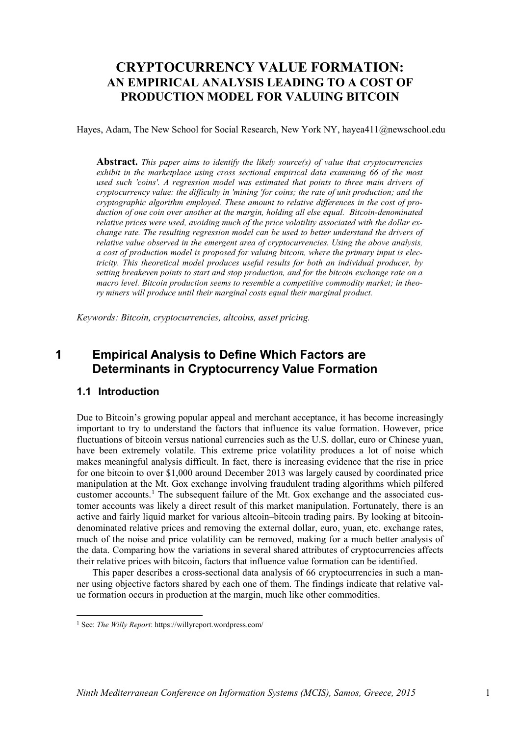### **CRYPTOCURRENCY VALUE FORMATION: AN EMPIRICAL ANALYSIS LEADING TO A COST OF PRODUCTION MODEL FOR VALUING BITCOIN**

Hayes, Adam, The New School for Social Research, New York NY, hayea411@newschool.edu

**Abstract.** *This paper aims to identify the likely source(s) of value that cryptocurrencies exhibit in the marketplace using cross sectional empirical data examining 66 of the most used such 'coins'. A regression model was estimated that points to three main drivers of cryptocurrency value: the difficulty in 'mining 'for coins; the rate of unit production; and the cryptographic algorithm employed. These amount to relative differences in the cost of production of one coin over another at the margin, holding all else equal. Bitcoin-denominated relative prices were used, avoiding much of the price volatility associated with the dollar exchange rate. The resulting regression model can be used to better understand the drivers of relative value observed in the emergent area of cryptocurrencies. Using the above analysis, a cost of production model is proposed for valuing bitcoin, where the primary input is electricity. This theoretical model produces useful results for both an individual producer, by setting breakeven points to start and stop production, and for the bitcoin exchange rate on a macro level. Bitcoin production seems to resemble a competitive commodity market; in theory miners will produce until their marginal costs equal their marginal product.* 

*Keywords: Bitcoin, cryptocurrencies, altcoins, asset pricing.*

### **1 Empirical Analysis to Define Which Factors are Determinants in Cryptocurrency Value Formation**

#### **1.1 Introduction**

Due to Bitcoin's growing popular appeal and merchant acceptance, it has become increasingly important to try to understand the factors that influence its value formation. However, price fluctuations of bitcoin versus national currencies such as the U.S. dollar, euro or Chinese yuan, have been extremely volatile. This extreme price volatility produces a lot of noise which makes meaningful analysis difficult. In fact, there is increasing evidence that the rise in price for one bitcoin to over \$1,000 around December 2013 was largely caused by coordinated price manipulation at the Mt. Gox exchange involving fraudulent trading algorithms which pilfered customer accounts.<sup>1</sup> The subsequent failure of the Mt. Gox exchange and the associated customer accounts was likely a direct result of this market manipulation. Fortunately, there is an active and fairly liquid market for various altcoin–bitcoin trading pairs. By looking at bitcoindenominated relative prices and removing the external dollar, euro, yuan, etc. exchange rates, much of the noise and price volatility can be removed, making for a much better analysis of the data. Comparing how the variations in several shared attributes of cryptocurrencies affects their relative prices with bitcoin, factors that influence value formation can be identified.

This paper describes a cross-sectional data analysis of 66 cryptocurrencies in such a manner using objective factors shared by each one of them. The findings indicate that relative value formation occurs in production at the margin, much like other commodities.

 <sup>1</sup> See: *The Willy Report*: https://willyreport.wordpress.com/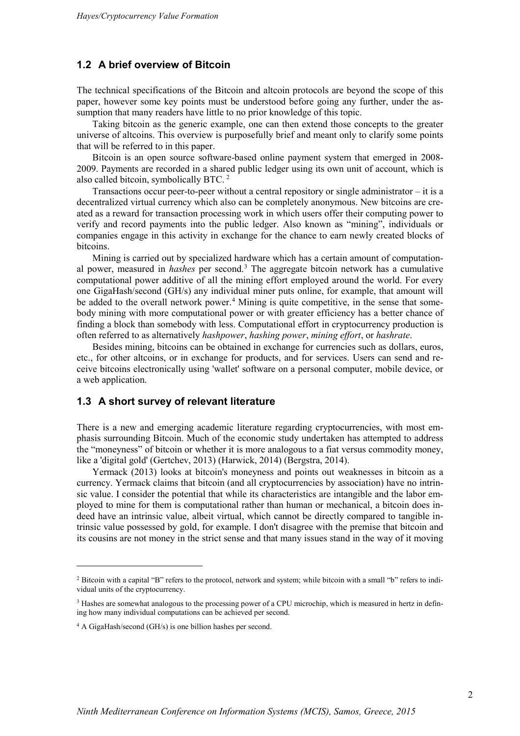#### **1.2 A brief overview of Bitcoin**

The technical specifications of the Bitcoin and altcoin protocols are beyond the scope of this paper, however some key points must be understood before going any further, under the assumption that many readers have little to no prior knowledge of this topic.

Taking bitcoin as the generic example, one can then extend those concepts to the greater universe of altcoins. This overview is purposefully brief and meant only to clarify some points that will be referred to in this paper.

Bitcoin is an open source software-based online payment system that emerged in 2008- 2009. Payments are recorded in a shared public ledger using its own unit of account, which is also called bitcoin, symbolically BTC. <sup>2</sup>

Transactions occur peer-to-peer without a central repository or single administrator – it is a decentralized virtual currency which also can be completely anonymous. New bitcoins are created as a reward for transaction processing work in which users offer their computing power to verify and record payments into the public ledger. Also known as "mining", individuals or companies engage in this activity in exchange for the chance to earn newly created blocks of bitcoins.

Mining is carried out by specialized hardware which has a certain amount of computational power, measured in *hashes* per second.3 The aggregate bitcoin network has a cumulative computational power additive of all the mining effort employed around the world. For every one GigaHash/second (GH/s) any individual miner puts online, for example, that amount will be added to the overall network power.<sup>4</sup> Mining is quite competitive, in the sense that somebody mining with more computational power or with greater efficiency has a better chance of finding a block than somebody with less. Computational effort in cryptocurrency production is often referred to as alternatively *hashpower*, *hashing power*, *mining effort*, or *hashrate*.

Besides mining, bitcoins can be obtained in exchange for currencies such as dollars, euros, etc., for other altcoins, or in exchange for products, and for services. Users can send and receive bitcoins electronically using 'wallet' software on a personal computer, mobile device, or a web application.

#### **1.3 A short survey of relevant literature**

There is a new and emerging academic literature regarding cryptocurrencies, with most emphasis surrounding Bitcoin. Much of the economic study undertaken has attempted to address the "moneyness" of bitcoin or whether it is more analogous to a fiat versus commodity money, like a 'digital gold' (Gertchev, 2013) (Harwick, 2014) (Bergstra, 2014).

Yermack (2013) looks at bitcoin's moneyness and points out weaknesses in bitcoin as a currency. Yermack claims that bitcoin (and all cryptocurrencies by association) have no intrinsic value. I consider the potential that while its characteristics are intangible and the labor employed to mine for them is computational rather than human or mechanical, a bitcoin does indeed have an intrinsic value, albeit virtual, which cannot be directly compared to tangible intrinsic value possessed by gold, for example. I don't disagree with the premise that bitcoin and its cousins are not money in the strict sense and that many issues stand in the way of it moving

 $\overline{a}$ 

<sup>2</sup> Bitcoin with a capital "B" refers to the protocol, network and system; while bitcoin with a small "b" refers to individual units of the cryptocurrency.

<sup>&</sup>lt;sup>3</sup> Hashes are somewhat analogous to the processing power of a CPU microchip, which is measured in hertz in defining how many individual computations can be achieved per second.

<sup>4</sup> A GigaHash/second (GH/s) is one billion hashes per second.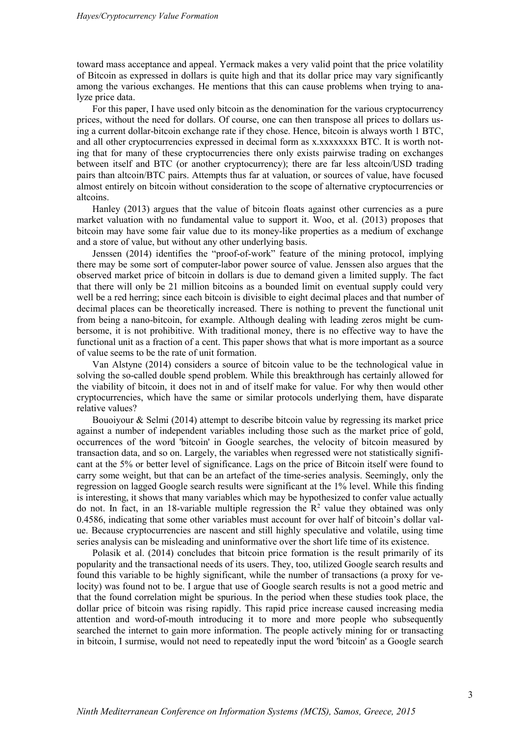toward mass acceptance and appeal. Yermack makes a very valid point that the price volatility of Bitcoin as expressed in dollars is quite high and that its dollar price may vary significantly among the various exchanges. He mentions that this can cause problems when trying to analyze price data.

For this paper, I have used only bitcoin as the denomination for the various cryptocurrency prices, without the need for dollars. Of course, one can then transpose all prices to dollars using a current dollar-bitcoin exchange rate if they chose. Hence, bitcoin is always worth 1 BTC, and all other cryptocurrencies expressed in decimal form as x.xxxxxxxx BTC. It is worth noting that for many of these cryptocurrencies there only exists pairwise trading on exchanges between itself and BTC (or another cryptocurrency); there are far less altcoin/USD trading pairs than altcoin/BTC pairs. Attempts thus far at valuation, or sources of value, have focused almost entirely on bitcoin without consideration to the scope of alternative cryptocurrencies or altcoins.

Hanley (2013) argues that the value of bitcoin floats against other currencies as a pure market valuation with no fundamental value to support it. Woo, et al. (2013) proposes that bitcoin may have some fair value due to its money-like properties as a medium of exchange and a store of value, but without any other underlying basis.

Jenssen (2014) identifies the "proof-of-work" feature of the mining protocol, implying there may be some sort of computer-labor power source of value. Jenssen also argues that the observed market price of bitcoin in dollars is due to demand given a limited supply. The fact that there will only be 21 million bitcoins as a bounded limit on eventual supply could very well be a red herring; since each bitcoin is divisible to eight decimal places and that number of decimal places can be theoretically increased. There is nothing to prevent the functional unit from being a nano-bitcoin, for example. Although dealing with leading zeros might be cumbersome, it is not prohibitive. With traditional money, there is no effective way to have the functional unit as a fraction of a cent. This paper shows that what is more important as a source of value seems to be the rate of unit formation.

Van Alstyne (2014) considers a source of bitcoin value to be the technological value in solving the so-called double spend problem. While this breakthrough has certainly allowed for the viability of bitcoin, it does not in and of itself make for value. For why then would other cryptocurrencies, which have the same or similar protocols underlying them, have disparate relative values?

Bouoiyour & Selmi (2014) attempt to describe bitcoin value by regressing its market price against a number of independent variables including those such as the market price of gold, occurrences of the word 'bitcoin' in Google searches, the velocity of bitcoin measured by transaction data, and so on. Largely, the variables when regressed were not statistically significant at the 5% or better level of significance. Lags on the price of Bitcoin itself were found to carry some weight, but that can be an artefact of the time-series analysis. Seemingly, only the regression on lagged Google search results were significant at the 1% level. While this finding is interesting, it shows that many variables which may be hypothesized to confer value actually do not. In fact, in an 18-variable multiple regression the  $R<sup>2</sup>$  value they obtained was only 0.4586, indicating that some other variables must account for over half of bitcoin's dollar value. Because cryptocurrencies are nascent and still highly speculative and volatile, using time series analysis can be misleading and uninformative over the short life time of its existence.

Polasik et al. (2014) concludes that bitcoin price formation is the result primarily of its popularity and the transactional needs of its users. They, too, utilized Google search results and found this variable to be highly significant, while the number of transactions (a proxy for velocity) was found not to be. I argue that use of Google search results is not a good metric and that the found correlation might be spurious. In the period when these studies took place, the dollar price of bitcoin was rising rapidly. This rapid price increase caused increasing media attention and word-of-mouth introducing it to more and more people who subsequently searched the internet to gain more information. The people actively mining for or transacting in bitcoin, I surmise, would not need to repeatedly input the word 'bitcoin' as a Google search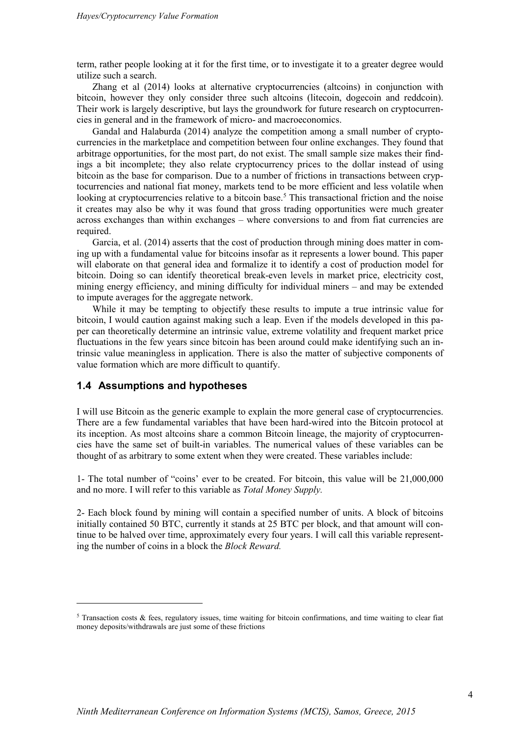term, rather people looking at it for the first time, or to investigate it to a greater degree would utilize such a search.

Zhang et al (2014) looks at alternative cryptocurrencies (altcoins) in conjunction with bitcoin, however they only consider three such altcoins (litecoin, dogecoin and reddcoin). Their work is largely descriptive, but lays the groundwork for future research on cryptocurrencies in general and in the framework of micro- and macroeconomics.

Gandal and Halaburda (2014) analyze the competition among a small number of cryptocurrencies in the marketplace and competition between four online exchanges. They found that arbitrage opportunities, for the most part, do not exist. The small sample size makes their findings a bit incomplete; they also relate cryptocurrency prices to the dollar instead of using bitcoin as the base for comparison. Due to a number of frictions in transactions between cryptocurrencies and national fiat money, markets tend to be more efficient and less volatile when looking at cryptocurrencies relative to a bitcoin base.<sup>5</sup> This transactional friction and the noise it creates may also be why it was found that gross trading opportunities were much greater across exchanges than within exchanges – where conversions to and from fiat currencies are required.

Garcia, et al. (2014) asserts that the cost of production through mining does matter in coming up with a fundamental value for bitcoins insofar as it represents a lower bound. This paper will elaborate on that general idea and formalize it to identify a cost of production model for bitcoin. Doing so can identify theoretical break-even levels in market price, electricity cost, mining energy efficiency, and mining difficulty for individual miners – and may be extended to impute averages for the aggregate network.

While it may be tempting to objectify these results to impute a true intrinsic value for bitcoin, I would caution against making such a leap. Even if the models developed in this paper can theoretically determine an intrinsic value, extreme volatility and frequent market price fluctuations in the few years since bitcoin has been around could make identifying such an intrinsic value meaningless in application. There is also the matter of subjective components of value formation which are more difficult to quantify.

#### **1.4 Assumptions and hypotheses**

l

I will use Bitcoin as the generic example to explain the more general case of cryptocurrencies. There are a few fundamental variables that have been hard-wired into the Bitcoin protocol at its inception. As most altcoins share a common Bitcoin lineage, the majority of cryptocurrencies have the same set of built-in variables. The numerical values of these variables can be thought of as arbitrary to some extent when they were created. These variables include:

1- The total number of "coins' ever to be created. For bitcoin, this value will be 21,000,000 and no more. I will refer to this variable as *Total Money Supply.*

2- Each block found by mining will contain a specified number of units. A block of bitcoins initially contained 50 BTC, currently it stands at 25 BTC per block, and that amount will continue to be halved over time, approximately every four years. I will call this variable representing the number of coins in a block the *Block Reward.*

 $5$  Transaction costs & fees, regulatory issues, time waiting for bitcoin confirmations, and time waiting to clear fiat money deposits/withdrawals are just some of these frictions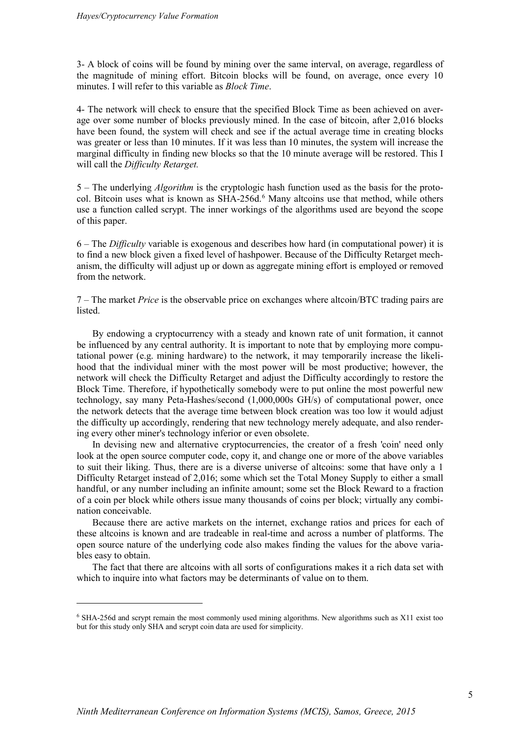3- A block of coins will be found by mining over the same interval, on average, regardless of the magnitude of mining effort. Bitcoin blocks will be found, on average, once every 10 minutes. I will refer to this variable as *Block Time*.

4- The network will check to ensure that the specified Block Time as been achieved on average over some number of blocks previously mined. In the case of bitcoin, after 2,016 blocks have been found, the system will check and see if the actual average time in creating blocks was greater or less than 10 minutes. If it was less than 10 minutes, the system will increase the marginal difficulty in finding new blocks so that the 10 minute average will be restored. This I will call the *Difficulty Retarget.*

5 – The underlying *Algorithm* is the cryptologic hash function used as the basis for the protocol. Bitcoin uses what is known as SHA-256d. <sup>6</sup> Many altcoins use that method, while others use a function called scrypt. The inner workings of the algorithms used are beyond the scope of this paper.

6 – The *Difficulty* variable is exogenous and describes how hard (in computational power) it is to find a new block given a fixed level of hashpower. Because of the Difficulty Retarget mechanism, the difficulty will adjust up or down as aggregate mining effort is employed or removed from the network.

7 – The market *Price* is the observable price on exchanges where altcoin/BTC trading pairs are listed.

By endowing a cryptocurrency with a steady and known rate of unit formation, it cannot be influenced by any central authority. It is important to note that by employing more computational power (e.g. mining hardware) to the network, it may temporarily increase the likelihood that the individual miner with the most power will be most productive; however, the network will check the Difficulty Retarget and adjust the Difficulty accordingly to restore the Block Time. Therefore, if hypothetically somebody were to put online the most powerful new technology, say many Peta-Hashes/second (1,000,000s GH/s) of computational power, once the network detects that the average time between block creation was too low it would adjust the difficulty up accordingly, rendering that new technology merely adequate, and also rendering every other miner's technology inferior or even obsolete.

In devising new and alternative cryptocurrencies, the creator of a fresh 'coin' need only look at the open source computer code, copy it, and change one or more of the above variables to suit their liking. Thus, there are is a diverse universe of altcoins: some that have only a 1 Difficulty Retarget instead of 2,016; some which set the Total Money Supply to either a small handful, or any number including an infinite amount; some set the Block Reward to a fraction of a coin per block while others issue many thousands of coins per block; virtually any combination conceivable.

Because there are active markets on the internet, exchange ratios and prices for each of these altcoins is known and are tradeable in real-time and across a number of platforms. The open source nature of the underlying code also makes finding the values for the above variables easy to obtain.

The fact that there are altcoins with all sorts of configurations makes it a rich data set with which to inquire into what factors may be determinants of value on to them.

<sup>6</sup> SHA-256d and scrypt remain the most commonly used mining algorithms. New algorithms such as X11 exist too but for this study only SHA and scrypt coin data are used for simplicity.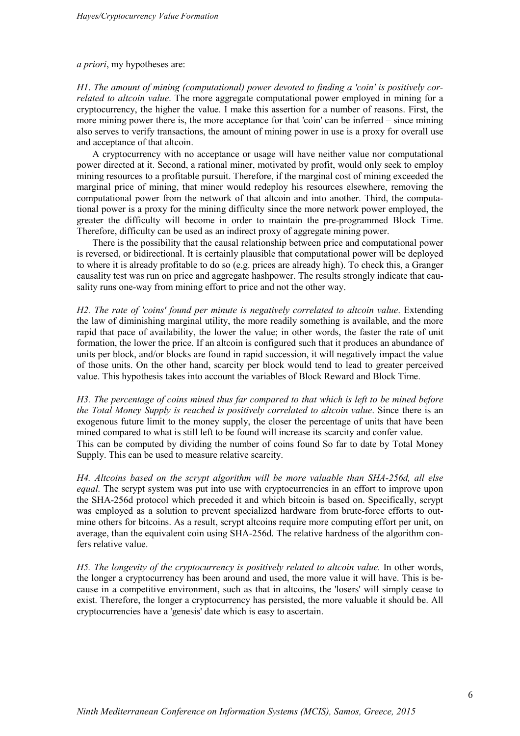*a priori*, my hypotheses are:

*H1*. *The amount of mining (computational) power devoted to finding a 'coin' is positively correlated to altcoin value*. The more aggregate computational power employed in mining for a cryptocurrency, the higher the value. I make this assertion for a number of reasons. First, the more mining power there is, the more acceptance for that 'coin' can be inferred – since mining also serves to verify transactions, the amount of mining power in use is a proxy for overall use and acceptance of that altcoin.

A cryptocurrency with no acceptance or usage will have neither value nor computational power directed at it. Second, a rational miner, motivated by profit, would only seek to employ mining resources to a profitable pursuit. Therefore, if the marginal cost of mining exceeded the marginal price of mining, that miner would redeploy his resources elsewhere, removing the computational power from the network of that altcoin and into another. Third, the computational power is a proxy for the mining difficulty since the more network power employed, the greater the difficulty will become in order to maintain the pre-programmed Block Time. Therefore, difficulty can be used as an indirect proxy of aggregate mining power.

There is the possibility that the causal relationship between price and computational power is reversed, or bidirectional. It is certainly plausible that computational power will be deployed to where it is already profitable to do so (e.g. prices are already high). To check this, a Granger causality test was run on price and aggregate hashpower. The results strongly indicate that causality runs one-way from mining effort to price and not the other way.

*H2. The rate of 'coins' found per minute is negatively correlated to altcoin value*. Extending the law of diminishing marginal utility, the more readily something is available, and the more rapid that pace of availability, the lower the value; in other words, the faster the rate of unit formation, the lower the price. If an altcoin is configured such that it produces an abundance of units per block, and/or blocks are found in rapid succession, it will negatively impact the value of those units. On the other hand, scarcity per block would tend to lead to greater perceived value. This hypothesis takes into account the variables of Block Reward and Block Time.

*H3. The percentage of coins mined thus far compared to that which is left to be mined before the Total Money Supply is reached is positively correlated to altcoin value*. Since there is an exogenous future limit to the money supply, the closer the percentage of units that have been mined compared to what is still left to be found will increase its scarcity and confer value. This can be computed by dividing the number of coins found So far to date by Total Money Supply. This can be used to measure relative scarcity.

*H4. Altcoins based on the scrypt algorithm will be more valuable than SHA-256d, all else equal.* The scrypt system was put into use with cryptocurrencies in an effort to improve upon the SHA-256d protocol which preceded it and which bitcoin is based on. Specifically, scrypt was employed as a solution to prevent specialized hardware from brute-force efforts to outmine others for bitcoins. As a result, scrypt altcoins require more computing effort per unit, on average, than the equivalent coin using SHA-256d. The relative hardness of the algorithm confers relative value.

*H5. The longevity of the cryptocurrency is positively related to altcoin value.* In other words, the longer a cryptocurrency has been around and used, the more value it will have. This is because in a competitive environment, such as that in altcoins, the 'losers' will simply cease to exist. Therefore, the longer a cryptocurrency has persisted, the more valuable it should be. All cryptocurrencies have a 'genesis' date which is easy to ascertain.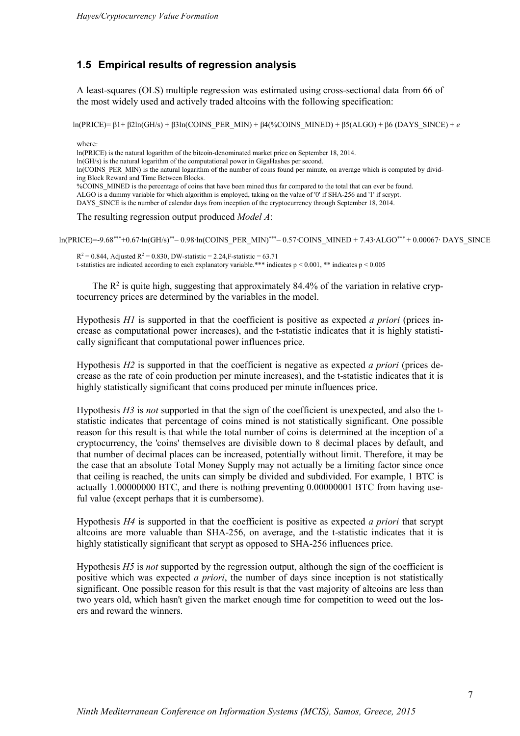#### **1.5 Empirical results of regression analysis**

A least-squares (OLS) multiple regression was estimated using cross-sectional data from 66 of the most widely used and actively traded altcoins with the following specification:

ln(PRICE)= β1+ β2ln(GH/s) + β3ln(COINS\_PER\_MIN) + β4(%COINS\_MINED) + β5(ALGO) + β6 (DAYS\_SINCE) + *e*

where:

ln(PRICE) is the natural logarithm of the bitcoin-denominated market price on September 18, 2014. ln(GH/s) is the natural logarithm of the computational power in GigaHashes per second. ln(COINS\_PER\_MIN) is the natural logarithm of the number of coins found per minute, on average which is computed by dividing Block Reward and Time Between Blocks. %COINS\_MINED is the percentage of coins that have been mined thus far compared to the total that can ever be found. ALGO is a dummy variable for which algorithm is employed, taking on the value of '0' if SHA-256 and '1' if scrypt. DAYS\_SINCE is the number of calendar days from inception of the cryptocurrency through September 18, 2014. The resulting regression output produced *Model A*:

ln(PRICE)=-9.68\*\*\*+0.67∙ln(GH/s)\*\*– 0.98∙ln(COINS\_PER\_MIN)\*\*\*– 0.57∙COINS\_MINED + 7.43∙ALGO\*\*\* + 0.00067∙ DAYS\_SINCE

 $R^2 = 0.844$ , Adjusted  $R^2 = 0.830$ , DW-statistic = 2.24, F-statistic = 63.71 t-statistics are indicated according to each explanatory variable.\*\*\* indicates  $p \le 0.001$ , \*\* indicates  $p \le 0.005$ 

The  $R^2$  is quite high, suggesting that approximately 84.4% of the variation in relative cryptocurrency prices are determined by the variables in the model.

Hypothesis *H1* is supported in that the coefficient is positive as expected *a priori* (prices increase as computational power increases), and the t-statistic indicates that it is highly statistically significant that computational power influences price.

Hypothesis *H2* is supported in that the coefficient is negative as expected *a priori* (prices decrease as the rate of coin production per minute increases), and the t-statistic indicates that it is highly statistically significant that coins produced per minute influences price.

Hypothesis *H3* is *not* supported in that the sign of the coefficient is unexpected, and also the tstatistic indicates that percentage of coins mined is not statistically significant. One possible reason for this result is that while the total number of coins is determined at the inception of a cryptocurrency, the 'coins' themselves are divisible down to 8 decimal places by default, and that number of decimal places can be increased, potentially without limit. Therefore, it may be the case that an absolute Total Money Supply may not actually be a limiting factor since once that ceiling is reached, the units can simply be divided and subdivided. For example, 1 BTC is actually 1.00000000 BTC, and there is nothing preventing 0.00000001 BTC from having useful value (except perhaps that it is cumbersome).

Hypothesis *H4* is supported in that the coefficient is positive as expected *a priori* that scrypt altcoins are more valuable than SHA-256, on average, and the t-statistic indicates that it is highly statistically significant that scrypt as opposed to SHA-256 influences price.

Hypothesis *H5* is *not* supported by the regression output, although the sign of the coefficient is positive which was expected *a priori*, the number of days since inception is not statistically significant. One possible reason for this result is that the vast majority of altcoins are less than two years old, which hasn't given the market enough time for competition to weed out the losers and reward the winners.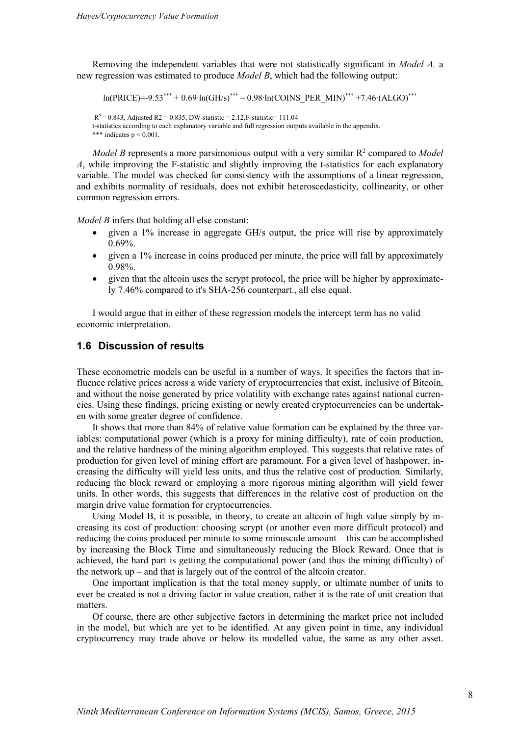Removing the independent variables that were not statistically significant in *Model A,* a new regression was estimated to produce *Model B*, which had the following output:

ln(PRICE)=-9.53\*\*\* + 0.69∙ln(GH/s)\*\*\* – 0.98∙ln(COINS\_PER\_MIN)\*\*\* +7.46∙(ALGO)\*\*\*

```
R^2 = 0.843, Adjusted R2 = 0.835, DW-statistic = 2.12, F-statistic = 111.04
t-statistics according to each explanatory variable and full regression outputs available in the appendix. 
*** indicates p \le 0.001.
```
*Model B* represents a more parsimonious output with a very similar  $R^2$  compared to *Model A*, while improving the F-statistic and slightly improving the t-statistics for each explanatory variable. The model was checked for consistency with the assumptions of a linear regression, and exhibits normality of residuals, does not exhibit heteroscedasticity, collinearity, or other common regression errors.

*Model B* infers that holding all else constant:

- given a 1% increase in aggregate GH/s output, the price will rise by approximately 0.69%.
- given a 1% increase in coins produced per minute, the price will fall by approximately 0.98%.
- given that the altcoin uses the scrypt protocol, the price will be higher by approximately 7.46% compared to it's SHA-256 counterpart., all else equal.

I would argue that in either of these regression models the intercept term has no valid economic interpretation.

#### **1.6 Discussion of results**

These econometric models can be useful in a number of ways. It specifies the factors that influence relative prices across a wide variety of cryptocurrencies that exist, inclusive of Bitcoin, and without the noise generated by price volatility with exchange rates against national currencies. Using these findings, pricing existing or newly created cryptocurrencies can be undertaken with some greater degree of confidence.

It shows that more than 84% of relative value formation can be explained by the three variables: computational power (which is a proxy for mining difficulty), rate of coin production, and the relative hardness of the mining algorithm employed. This suggests that relative rates of production for given level of mining effort are paramount. For a given level of hashpower, increasing the difficulty will yield less units, and thus the relative cost of production. Similarly, reducing the block reward or employing a more rigorous mining algorithm will yield fewer units. In other words, this suggests that differences in the relative cost of production on the margin drive value formation for cryptocurrencies.

Using Model B, it is possible, in theory, to create an altcoin of high value simply by increasing its cost of production: choosing scrypt (or another even more difficult protocol) and reducing the coins produced per minute to some minuscule amount – this can be accomplished by increasing the Block Time and simultaneously reducing the Block Reward. Once that is achieved, the hard part is getting the computational power (and thus the mining difficulty) of the network up – and that is largely out of the control of the altcoin creator.

One important implication is that the total money supply, or ultimate number of units to ever be created is not a driving factor in value creation, rather it is the rate of unit creation that matters.

Of course, there are other subjective factors in determining the market price not included in the model, but which are yet to be identified. At any given point in time, any individual cryptocurrency may trade above or below its modelled value, the same as any other asset.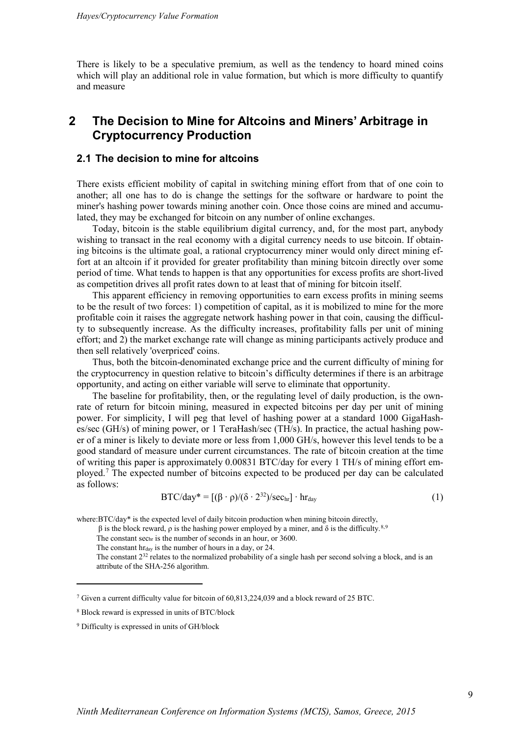There is likely to be a speculative premium, as well as the tendency to hoard mined coins which will play an additional role in value formation, but which is more difficulty to quantify and measure

### **2 The Decision to Mine for Altcoins and Miners' Arbitrage in Cryptocurrency Production**

#### **2.1 The decision to mine for altcoins**

There exists efficient mobility of capital in switching mining effort from that of one coin to another; all one has to do is change the settings for the software or hardware to point the miner's hashing power towards mining another coin. Once those coins are mined and accumulated, they may be exchanged for bitcoin on any number of online exchanges.

Today, bitcoin is the stable equilibrium digital currency, and, for the most part, anybody wishing to transact in the real economy with a digital currency needs to use bitcoin. If obtaining bitcoins is the ultimate goal, a rational cryptocurrency miner would only direct mining effort at an altcoin if it provided for greater profitability than mining bitcoin directly over some period of time. What tends to happen is that any opportunities for excess profits are short-lived as competition drives all profit rates down to at least that of mining for bitcoin itself.

This apparent efficiency in removing opportunities to earn excess profits in mining seems to be the result of two forces: 1) competition of capital, as it is mobilized to mine for the more profitable coin it raises the aggregate network hashing power in that coin, causing the difficulty to subsequently increase. As the difficulty increases, profitability falls per unit of mining effort; and 2) the market exchange rate will change as mining participants actively produce and then sell relatively 'overpriced' coins.

Thus, both the bitcoin-denominated exchange price and the current difficulty of mining for the cryptocurrency in question relative to bitcoin's difficulty determines if there is an arbitrage opportunity, and acting on either variable will serve to eliminate that opportunity.

The baseline for profitability, then, or the regulating level of daily production, is the ownrate of return for bitcoin mining, measured in expected bitcoins per day per unit of mining power. For simplicity, I will peg that level of hashing power at a standard 1000 GigaHashes/sec (GH/s) of mining power, or 1 TeraHash/sec (TH/s). In practice, the actual hashing power of a miner is likely to deviate more or less from 1,000 GH/s, however this level tends to be a good standard of measure under current circumstances. The rate of bitcoin creation at the time of writing this paper is approximately 0.00831 BTC/day for every 1 TH/s of mining effort employed.7 The expected number of bitcoins expected to be produced per day can be calculated as follows:

$$
BTC/day^* = [(\beta \cdot \rho)/(\delta \cdot 2^{32})/sec_{hr}] \cdot hr_{day}
$$
 (1)

where:BTC/day\* is the expected level of daily bitcoin production when mining bitcoin directly,

 $β$  is the block reward,  $ρ$  is the hashing power employed by a miner, and  $δ$  is the difficulty.<sup>8,9</sup>

The constant sec<sub>hr</sub> is the number of seconds in an hour, or 3600.

The constant hr<sub>day</sub> is the number of hours in a day, or 24.

The constant  $2^{32}$  relates to the normalized probability of a single hash per second solving a block, and is an attribute of the SHA-256 algorithm.

<sup>&</sup>lt;sup>7</sup> Given a current difficulty value for bitcoin of 60,813,224,039 and a block reward of 25 BTC.

<sup>8</sup> Block reward is expressed in units of BTC/block

<sup>9</sup> Difficulty is expressed in units of GH/block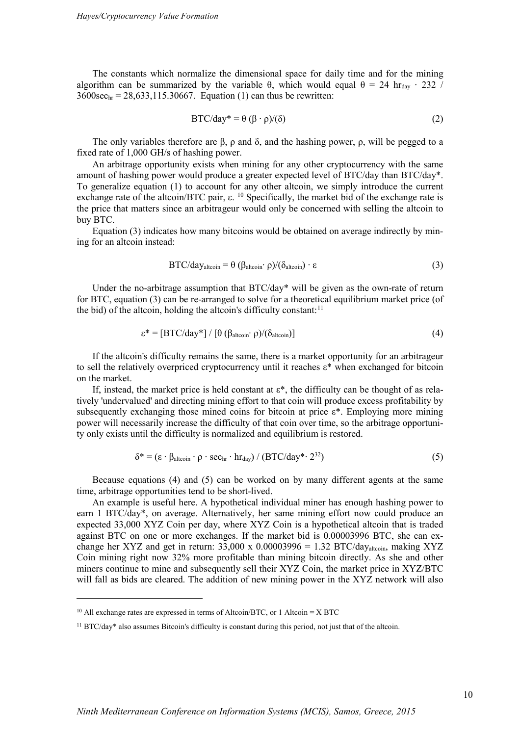The constants which normalize the dimensional space for daily time and for the mining algorithm can be summarized by the variable  $\theta$ , which would equal  $\theta = 24$  hr<sub>day</sub> ∙ 232 /  $3600$ sec<sub>hr</sub> = 28,633,115.30667. Equation (1) can thus be rewritten:

$$
BTC/day^* = \theta (\beta \cdot \rho)/(\delta)
$$
 (2)

The only variables therefore are β, ρ and δ, and the hashing power, ρ, will be pegged to a fixed rate of 1,000 GH/s of hashing power.

An arbitrage opportunity exists when mining for any other cryptocurrency with the same amount of hashing power would produce a greater expected level of BTC/day than BTC/day\*. To generalize equation (1) to account for any other altcoin, we simply introduce the current exchange rate of the altcoin/BTC pair,  $\varepsilon$ . <sup>10</sup> Specifically, the market bid of the exchange rate is the price that matters since an arbitrageur would only be concerned with selling the altcoin to buy BTC.

Equation (3) indicates how many bitcoins would be obtained on average indirectly by mining for an altcoin instead:

$$
BTC/day_{altcoin} = \theta \left( \beta_{altcoin} \cdot \rho \right) / (\delta_{altcoin}) \cdot \varepsilon \tag{3}
$$

Under the no-arbitrage assumption that BTC/day\* will be given as the own-rate of return for BTC, equation (3) can be re-arranged to solve for a theoretical equilibrium market price (of the bid) of the altcoin, holding the altcoin's difficulty constant:  $11$ 

$$
\varepsilon^* = \left[ \text{BTC/day*} \right] / \left[ \theta \left( \beta_{\text{altcoin}} \cdot \rho \right) / (\delta_{\text{altcoin}}) \right] \tag{4}
$$

If the altcoin's difficulty remains the same, there is a market opportunity for an arbitrageur to sell the relatively overpriced cryptocurrency until it reaches  $\varepsilon^*$  when exchanged for bitcoin on the market.

If, instead, the market price is held constant at  $\varepsilon^*$ , the difficulty can be thought of as relatively 'undervalued' and directing mining effort to that coin will produce excess profitability by subsequently exchanging those mined coins for bitcoin at price  $\varepsilon^*$ . Employing more mining power will necessarily increase the difficulty of that coin over time, so the arbitrage opportunity only exists until the difficulty is normalized and equilibrium is restored.

$$
\delta^* = (\varepsilon \cdot \beta_{\text{altcoin}} \cdot \rho \cdot \text{sec}_{\text{hr}} \cdot \text{hr}_{\text{day}}) / (\text{BTC/day}^* \cdot 2^{32}) \tag{5}
$$

Because equations (4) and (5) can be worked on by many different agents at the same time, arbitrage opportunities tend to be short-lived.

An example is useful here. A hypothetical individual miner has enough hashing power to earn 1 BTC/day\*, on average. Alternatively, her same mining effort now could produce an expected 33,000 XYZ Coin per day, where XYZ Coin is a hypothetical altcoin that is traded against BTC on one or more exchanges. If the market bid is 0.00003996 BTC, she can exchange her XYZ and get in return:  $33,000 \times 0.00003996 = 1.32$  BTC/day<sub>altcoin</sub>, making XYZ Coin mining right now 32% more profitable than mining bitcoin directly. As she and other miners continue to mine and subsequently sell their XYZ Coin, the market price in XYZ/BTC will fall as bids are cleared. The addition of new mining power in the XYZ network will also

<sup>&</sup>lt;sup>10</sup> All exchange rates are expressed in terms of Altcoin/BTC, or 1 Altcoin = X BTC

<sup>&</sup>lt;sup>11</sup> BTC/day\* also assumes Bitcoin's difficulty is constant during this period, not just that of the altcoin.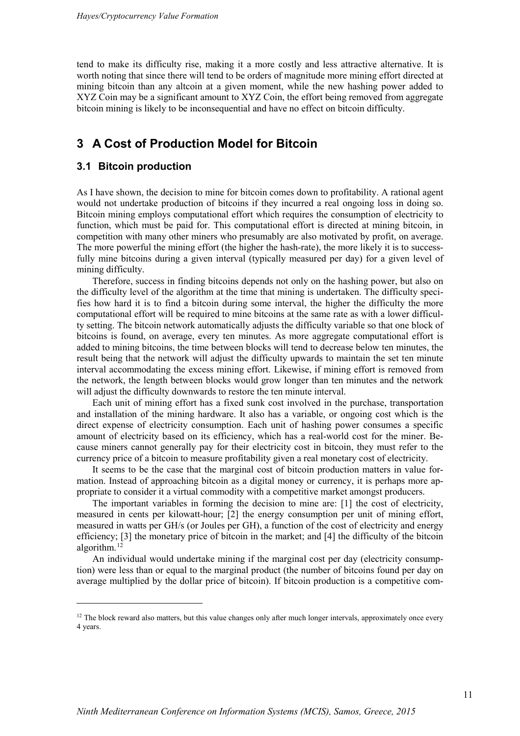tend to make its difficulty rise, making it a more costly and less attractive alternative. It is worth noting that since there will tend to be orders of magnitude more mining effort directed at mining bitcoin than any altcoin at a given moment, while the new hashing power added to XYZ Coin may be a significant amount to XYZ Coin, the effort being removed from aggregate bitcoin mining is likely to be inconsequential and have no effect on bitcoin difficulty.

### **3 A Cost of Production Model for Bitcoin**

#### **3.1 Bitcoin production**

l

As I have shown, the decision to mine for bitcoin comes down to profitability. A rational agent would not undertake production of bitcoins if they incurred a real ongoing loss in doing so. Bitcoin mining employs computational effort which requires the consumption of electricity to function, which must be paid for. This computational effort is directed at mining bitcoin, in competition with many other miners who presumably are also motivated by profit, on average. The more powerful the mining effort (the higher the hash-rate), the more likely it is to successfully mine bitcoins during a given interval (typically measured per day) for a given level of mining difficulty.

Therefore, success in finding bitcoins depends not only on the hashing power, but also on the difficulty level of the algorithm at the time that mining is undertaken. The difficulty specifies how hard it is to find a bitcoin during some interval, the higher the difficulty the more computational effort will be required to mine bitcoins at the same rate as with a lower difficulty setting. The bitcoin network automatically adjusts the difficulty variable so that one block of bitcoins is found, on average, every ten minutes. As more aggregate computational effort is added to mining bitcoins, the time between blocks will tend to decrease below ten minutes, the result being that the network will adjust the difficulty upwards to maintain the set ten minute interval accommodating the excess mining effort. Likewise, if mining effort is removed from the network, the length between blocks would grow longer than ten minutes and the network will adjust the difficulty downwards to restore the ten minute interval.

Each unit of mining effort has a fixed sunk cost involved in the purchase, transportation and installation of the mining hardware. It also has a variable, or ongoing cost which is the direct expense of electricity consumption. Each unit of hashing power consumes a specific amount of electricity based on its efficiency, which has a real-world cost for the miner. Because miners cannot generally pay for their electricity cost in bitcoin, they must refer to the currency price of a bitcoin to measure profitability given a real monetary cost of electricity.

It seems to be the case that the marginal cost of bitcoin production matters in value formation. Instead of approaching bitcoin as a digital money or currency, it is perhaps more appropriate to consider it a virtual commodity with a competitive market amongst producers.

The important variables in forming the decision to mine are: [1] the cost of electricity, measured in cents per kilowatt-hour; [2] the energy consumption per unit of mining effort, measured in watts per GH/s (or Joules per GH), a function of the cost of electricity and energy efficiency; [3] the monetary price of bitcoin in the market; and [4] the difficulty of the bitcoin algorithm.12

An individual would undertake mining if the marginal cost per day (electricity consumption) were less than or equal to the marginal product (the number of bitcoins found per day on average multiplied by the dollar price of bitcoin). If bitcoin production is a competitive com-

 $12$  The block reward also matters, but this value changes only after much longer intervals, approximately once every 4 years.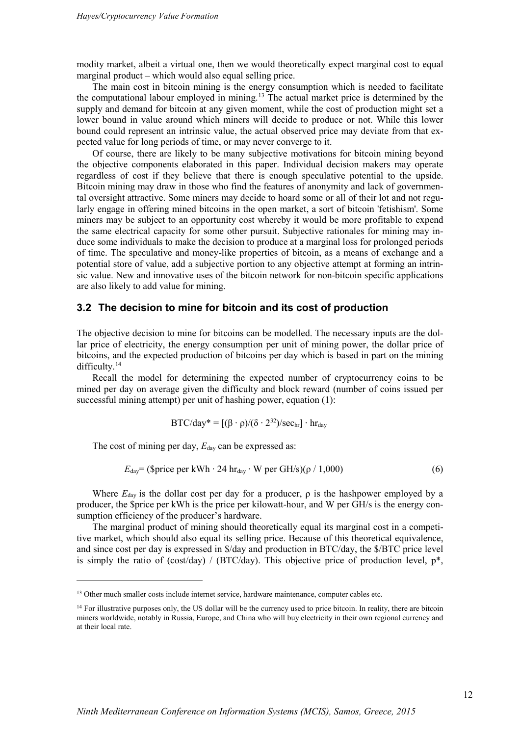modity market, albeit a virtual one, then we would theoretically expect marginal cost to equal marginal product – which would also equal selling price.

The main cost in bitcoin mining is the energy consumption which is needed to facilitate the computational labour employed in mining.13 The actual market price is determined by the supply and demand for bitcoin at any given moment, while the cost of production might set a lower bound in value around which miners will decide to produce or not. While this lower bound could represent an intrinsic value, the actual observed price may deviate from that expected value for long periods of time, or may never converge to it.

Of course, there are likely to be many subjective motivations for bitcoin mining beyond the objective components elaborated in this paper. Individual decision makers may operate regardless of cost if they believe that there is enough speculative potential to the upside. Bitcoin mining may draw in those who find the features of anonymity and lack of governmental oversight attractive. Some miners may decide to hoard some or all of their lot and not regularly engage in offering mined bitcoins in the open market, a sort of bitcoin 'fetishism'. Some miners may be subject to an opportunity cost whereby it would be more profitable to expend the same electrical capacity for some other pursuit. Subjective rationales for mining may induce some individuals to make the decision to produce at a marginal loss for prolonged periods of time. The speculative and money-like properties of bitcoin, as a means of exchange and a potential store of value, add a subjective portion to any objective attempt at forming an intrinsic value. New and innovative uses of the bitcoin network for non-bitcoin specific applications are also likely to add value for mining.

#### **3.2 The decision to mine for bitcoin and its cost of production**

The objective decision to mine for bitcoins can be modelled. The necessary inputs are the dollar price of electricity, the energy consumption per unit of mining power, the dollar price of bitcoins, and the expected production of bitcoins per day which is based in part on the mining difficulty.<sup>14</sup>

Recall the model for determining the expected number of cryptocurrency coins to be mined per day on average given the difficulty and block reward (number of coins issued per successful mining attempt) per unit of hashing power, equation (1):

$$
BTC/day^* = [(\beta \cdot \rho)/(\delta \cdot 2^{32})/sec_{hr}] \cdot hr_{day}
$$

The cost of mining per day,  $E_{\text{day}}$  can be expressed as:

l

$$
E_{\text{day}} = (\text{Sprice per kWh} \cdot 24 \text{ hr}_{\text{day}} \cdot \text{W per GH/s})(\rho / 1,000) \tag{6}
$$

Where  $E_{\text{day}}$  is the dollar cost per day for a producer,  $\rho$  is the hashpower employed by a producer, the \$price per kWh is the price per kilowatt-hour, and W per GH/s is the energy consumption efficiency of the producer's hardware.

The marginal product of mining should theoretically equal its marginal cost in a competitive market, which should also equal its selling price. Because of this theoretical equivalence, and since cost per day is expressed in \$/day and production in BTC/day, the \$/BTC price level is simply the ratio of (cost/day) / (BTC/day). This objective price of production level,  $p^*$ ,

<sup>&</sup>lt;sup>13</sup> Other much smaller costs include internet service, hardware maintenance, computer cables etc.

 $14$  For illustrative purposes only, the US dollar will be the currency used to price bitcoin. In reality, there are bitcoin miners worldwide, notably in Russia, Europe, and China who will buy electricity in their own regional currency and at their local rate.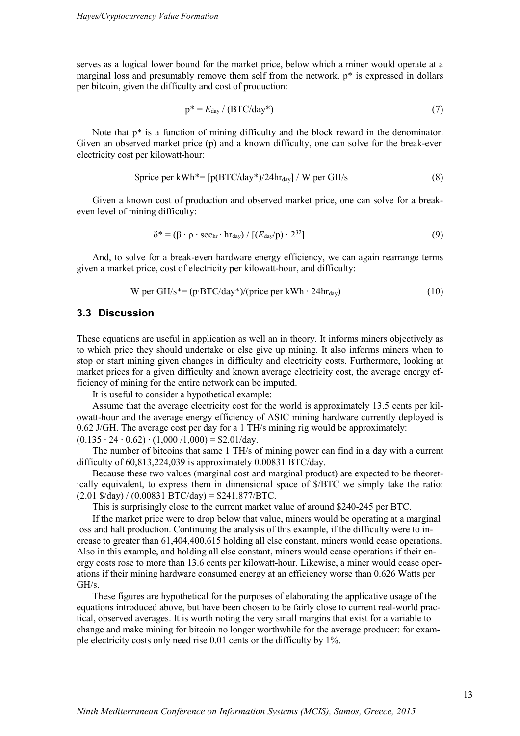serves as a logical lower bound for the market price, below which a miner would operate at a marginal loss and presumably remove them self from the network.  $p^*$  is expressed in dollars per bitcoin, given the difficulty and cost of production:

$$
p^* = E_{\text{day}} / (BTC/\text{day}^*)
$$
 (7)

Note that  $p^*$  is a function of mining difficulty and the block reward in the denominator. Given an observed market price (p) and a known difficulty, one can solve for the break-even electricity cost per kilowatt-hour:

$$
6 \text{price per kWh*} = \left[ p(BTC/day*)/24 \text{hr}_{day} \right] / W \text{ per GH/s} \tag{8}
$$

Given a known cost of production and observed market price, one can solve for a breakeven level of mining difficulty:

$$
\delta^* = (\beta \cdot \rho \cdot \text{sec}_{\text{hr}} \cdot \text{hr}_{\text{day}}) / [(E_{\text{day}}/p) \cdot 2^{32}] \tag{9}
$$

And, to solve for a break-even hardware energy efficiency, we can again rearrange terms given a market price, cost of electricity per kilowatt-hour, and difficulty:

W per GH/s\* = 
$$
(p \cdot BTC/day^*)/(price \text{ per kWh} \cdot 24hr_{day})
$$
 (10)

#### **3.3 Discussion**

These equations are useful in application as well an in theory. It informs miners objectively as to which price they should undertake or else give up mining. It also informs miners when to stop or start mining given changes in difficulty and electricity costs. Furthermore, looking at market prices for a given difficulty and known average electricity cost, the average energy efficiency of mining for the entire network can be imputed.

It is useful to consider a hypothetical example:

Assume that the average electricity cost for the world is approximately 13.5 cents per kilowatt-hour and the average energy efficiency of ASIC mining hardware currently deployed is 0.62 J/GH. The average cost per day for a 1 TH/s mining rig would be approximately:  $(0.135 \cdot 24 \cdot 0.62) \cdot (1.000 / 1.000) = $2.01 / \text{day}.$ 

The number of bitcoins that same 1 TH/s of mining power can find in a day with a current difficulty of 60,813,224,039 is approximately 0.00831 BTC/day.

Because these two values (marginal cost and marginal product) are expected to be theoretically equivalent, to express them in dimensional space of \$/BTC we simply take the ratio:  $(2.01 \text{ \textdegree S/day}) / (0.00831 \text{ BTC/day}) = $241.877/\text{BTC}.$ 

This is surprisingly close to the current market value of around \$240-245 per BTC.

If the market price were to drop below that value, miners would be operating at a marginal loss and halt production. Continuing the analysis of this example, if the difficulty were to increase to greater than 61,404,400,615 holding all else constant, miners would cease operations. Also in this example, and holding all else constant, miners would cease operations if their energy costs rose to more than 13.6 cents per kilowatt-hour. Likewise, a miner would cease operations if their mining hardware consumed energy at an efficiency worse than 0.626 Watts per GH/s.

These figures are hypothetical for the purposes of elaborating the applicative usage of the equations introduced above, but have been chosen to be fairly close to current real-world practical, observed averages. It is worth noting the very small margins that exist for a variable to change and make mining for bitcoin no longer worthwhile for the average producer: for example electricity costs only need rise 0.01 cents or the difficulty by 1%.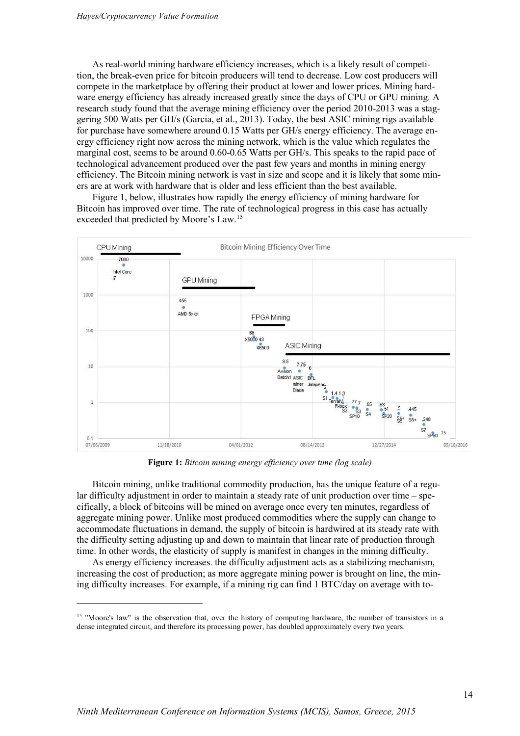As real-world mining hardware efficiency increases, which is a likely result of competition, the break-even price for bitcoin producers will tend to decrease. Low cost producers will compete in the marketplace by offering their product at lower and lower prices. Mining hardware energy efficiency has already increased greatly since the days of CPU or GPU mining. A research study found that the average mining efficiency over the period 2010-2013 was a staggering 500 Watts per GH/s (Garcia, et al., 2013). Today, the best ASIC mining rigs available for purchase have somewhere around 0.15 Watts per GH/s energy efficiency. The average energy efficiency right now across the mining network, which is the value which regulates the marginal cost, seems to be around 0.60-0.65 Watts per GH/s. This speaks to the rapid pace of technological advancement produced over the past few years and months in mining energy efficiency. The Bitcoin mining network is vast in size and scope and it is likely that some miners are at work with hardware that is older and less efficient than the best available.

Figure 1, below, illustrates how rapidly the energy efficiency of mining hardware for Bitcoin has improved over time. The rate of technological progress in this case has actually exceeded that predicted by Moore's Law.15



**Figure 1:** *Bitcoin mining energy efficiency over time (log scale)*

Bitcoin mining, unlike traditional commodity production, has the unique feature of a regular difficulty adjustment in order to maintain a steady rate of unit production over time – specifically, a block of bitcoins will be mined on average once every ten minutes, regardless of aggregate mining power. Unlike most produced commodities where the supply can change to accommodate fluctuations in demand, the supply of bitcoin is hardwired at its steady rate with the difficulty setting adjusting up and down to maintain that linear rate of production through time. In other words, the elasticity of supply is manifest in changes in the mining difficulty.

As energy efficiency increases. the difficulty adjustment acts as a stabilizing mechanism, increasing the cost of production; as more aggregate mining power is brought on line, the mining difficulty increases. For example, if a mining rig can find 1 BTC/day on average with to-

<sup>&</sup>lt;sup>15</sup> "Moore's law" is the observation that, over the history of computing hardware, the number of transistors in a dense integrated circuit, and therefore its processing power, has doubled approximately every two years.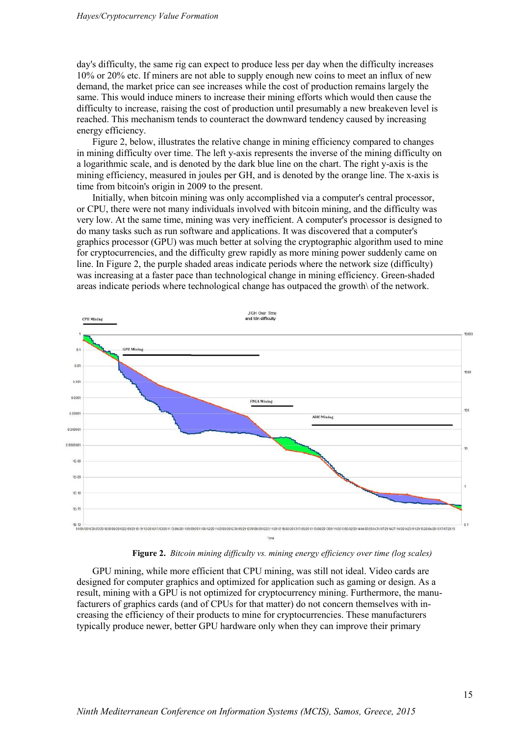day's difficulty, the same rig can expect to produce less per day when the difficulty increases 10% or 20% etc. If miners are not able to supply enough new coins to meet an influx of new demand, the market price can see increases while the cost of production remains largely the same. This would induce miners to increase their mining efforts which would then cause the difficulty to increase, raising the cost of production until presumably a new breakeven level is reached. This mechanism tends to counteract the downward tendency caused by increasing energy efficiency.

Figure 2, below, illustrates the relative change in mining efficiency compared to changes in mining difficulty over time. The left y-axis represents the inverse of the mining difficulty on a logarithmic scale, and is denoted by the dark blue line on the chart. The right y-axis is the mining efficiency, measured in joules per GH, and is denoted by the orange line. The x-axis is time from bitcoin's origin in 2009 to the present.

Initially, when bitcoin mining was only accomplished via a computer's central processor, or CPU, there were not many individuals involved with bitcoin mining, and the difficulty was very low. At the same time, mining was very inefficient. A computer's processor is designed to do many tasks such as run software and applications. It was discovered that a computer's graphics processor (GPU) was much better at solving the cryptographic algorithm used to mine for cryptocurrencies, and the difficulty grew rapidly as more mining power suddenly came on line. In Figure 2, the purple shaded areas indicate periods where the network size (difficulty) was increasing at a faster pace than technological change in mining efficiency. Green-shaded areas indicate periods where technological change has outpaced the growth\ of the network.



 **Figure 2.** *Bitcoin mining difficulty vs. mining energy efficiency over time (log scales)*

GPU mining, while more efficient that CPU mining, was still not ideal. Video cards are designed for computer graphics and optimized for application such as gaming or design. As a result, mining with a GPU is not optimized for cryptocurrency mining. Furthermore, the manufacturers of graphics cards (and of CPUs for that matter) do not concern themselves with increasing the efficiency of their products to mine for cryptocurrencies. These manufacturers typically produce newer, better GPU hardware only when they can improve their primary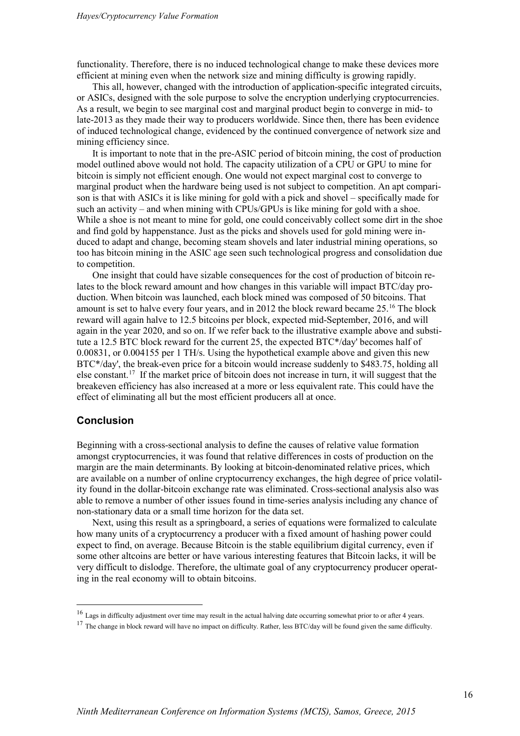functionality. Therefore, there is no induced technological change to make these devices more efficient at mining even when the network size and mining difficulty is growing rapidly.

This all, however, changed with the introduction of application-specific integrated circuits, or ASICs, designed with the sole purpose to solve the encryption underlying cryptocurrencies. As a result, we begin to see marginal cost and marginal product begin to converge in mid- to late-2013 as they made their way to producers worldwide. Since then, there has been evidence of induced technological change, evidenced by the continued convergence of network size and mining efficiency since.

It is important to note that in the pre-ASIC period of bitcoin mining, the cost of production model outlined above would not hold. The capacity utilization of a CPU or GPU to mine for bitcoin is simply not efficient enough. One would not expect marginal cost to converge to marginal product when the hardware being used is not subject to competition. An apt comparison is that with ASICs it is like mining for gold with a pick and shovel – specifically made for such an activity – and when mining with CPUs/GPUs is like mining for gold with a shoe. While a shoe is not meant to mine for gold, one could conceivably collect some dirt in the shoe and find gold by happenstance. Just as the picks and shovels used for gold mining were induced to adapt and change, becoming steam shovels and later industrial mining operations, so too has bitcoin mining in the ASIC age seen such technological progress and consolidation due to competition.

One insight that could have sizable consequences for the cost of production of bitcoin relates to the block reward amount and how changes in this variable will impact BTC/day production. When bitcoin was launched, each block mined was composed of 50 bitcoins. That amount is set to halve every four years, and in 2012 the block reward became  $25<sup>16</sup>$  The block reward will again halve to 12.5 bitcoins per block, expected mid-September, 2016, and will again in the year 2020, and so on. If we refer back to the illustrative example above and substitute a 12.5 BTC block reward for the current 25, the expected BTC\*/day' becomes half of 0.00831, or 0.004155 per 1 TH/s. Using the hypothetical example above and given this new BTC\*/day', the break-even price for a bitcoin would increase suddenly to \$483.75, holding all else constant.17 If the market price of bitcoin does not increase in turn, it will suggest that the breakeven efficiency has also increased at a more or less equivalent rate. This could have the effect of eliminating all but the most efficient producers all at once.

#### **Conclusion**

Beginning with a cross-sectional analysis to define the causes of relative value formation amongst cryptocurrencies, it was found that relative differences in costs of production on the margin are the main determinants. By looking at bitcoin-denominated relative prices, which are available on a number of online cryptocurrency exchanges, the high degree of price volatility found in the dollar-bitcoin exchange rate was eliminated. Cross-sectional analysis also was able to remove a number of other issues found in time-series analysis including any chance of non-stationary data or a small time horizon for the data set.

Next, using this result as a springboard, a series of equations were formalized to calculate how many units of a cryptocurrency a producer with a fixed amount of hashing power could expect to find, on average. Because Bitcoin is the stable equilibrium digital currency, even if some other altcoins are better or have various interesting features that Bitcoin lacks, it will be very difficult to dislodge. Therefore, the ultimate goal of any cryptocurrency producer operating in the real economy will to obtain bitcoins.

<sup>&</sup>lt;sup>16</sup> Lags in difficulty adjustment over time may result in the actual halving date occurring somewhat prior to or after 4 years.

<sup>&</sup>lt;sup>17</sup> The change in block reward will have no impact on difficulty. Rather, less BTC/day will be found given the same difficulty.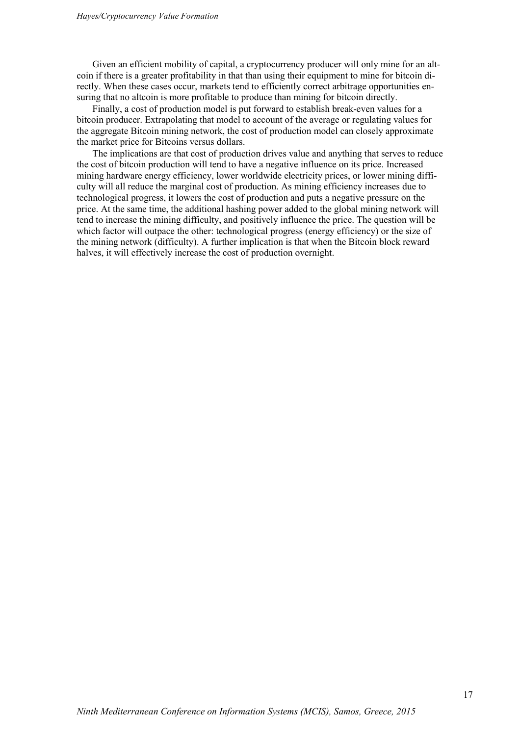Given an efficient mobility of capital, a cryptocurrency producer will only mine for an altcoin if there is a greater profitability in that than using their equipment to mine for bitcoin directly. When these cases occur, markets tend to efficiently correct arbitrage opportunities ensuring that no altcoin is more profitable to produce than mining for bitcoin directly.

Finally, a cost of production model is put forward to establish break-even values for a bitcoin producer. Extrapolating that model to account of the average or regulating values for the aggregate Bitcoin mining network, the cost of production model can closely approximate the market price for Bitcoins versus dollars.

The implications are that cost of production drives value and anything that serves to reduce the cost of bitcoin production will tend to have a negative influence on its price. Increased mining hardware energy efficiency, lower worldwide electricity prices, or lower mining difficulty will all reduce the marginal cost of production. As mining efficiency increases due to technological progress, it lowers the cost of production and puts a negative pressure on the price. At the same time, the additional hashing power added to the global mining network will tend to increase the mining difficulty, and positively influence the price. The question will be which factor will outpace the other: technological progress (energy efficiency) or the size of the mining network (difficulty). A further implication is that when the Bitcoin block reward halves, it will effectively increase the cost of production overnight.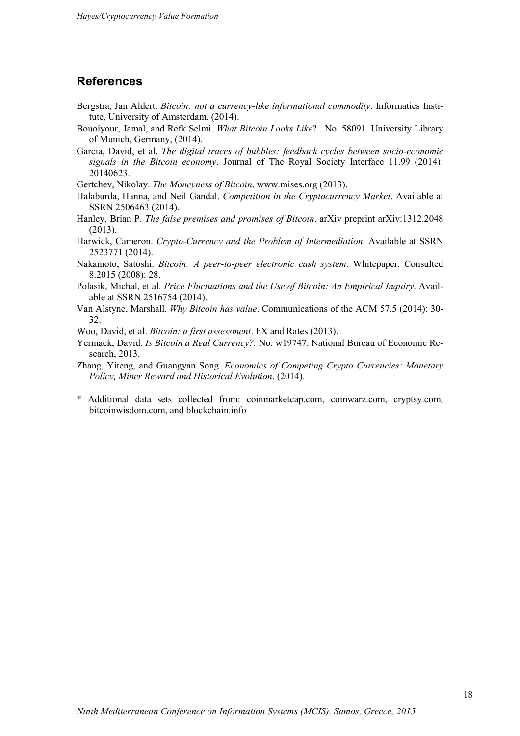### **References**

- Bergstra, Jan Aldert. *Bitcoin: not a currency-like informational commodity*. Informatics Institute, University of Amsterdam, (2014).
- Bouoiyour, Jamal, and Refk Selmi. *What Bitcoin Looks Like*? . No. 58091. University Library of Munich, Germany, (2014).
- Garcia, David, et al. *The digital traces of bubbles: feedback cycles between socio-economic signals in the Bitcoin economy*. Journal of The Royal Society Interface 11.99 (2014): 20140623.

Gertchev, Nikolay. *The Moneyness of Bitcoin*. www.mises.org (2013).

- Halaburda, Hanna, and Neil Gandal. *Competition in the Cryptocurrency Market*. Available at SSRN 2506463 (2014).
- Hanley, Brian P. *The false premises and promises of Bitcoin*. arXiv preprint arXiv:1312.2048 (2013).
- Harwick, Cameron. *Crypto-Currency and the Problem of Intermediation*. Available at SSRN 2523771 (2014).
- Nakamoto, Satoshi. *Bitcoin: A peer-to-peer electronic cash system*. Whitepaper. Consulted 8.2015 (2008): 28.
- Polasik, Michal, et al. *Price Fluctuations and the Use of Bitcoin: An Empirical Inquiry*. Available at SSRN 2516754 (2014).
- Van Alstyne, Marshall. *Why Bitcoin has value*. Communications of the ACM 57.5 (2014): 30- 32.
- Woo, David, et al. *Bitcoin: a first assessment*. FX and Rates (2013).
- Yermack, David. *Is Bitcoin a Real Currency?.* No. w19747. National Bureau of Economic Research, 2013.
- Zhang, Yiteng, and Guangyan Song. *Economics of Competing Crypto Currencies: Monetary Policy, Miner Reward and Historical Evolution*. (2014).
- \* Additional data sets collected from: coinmarketcap.com, coinwarz.com, cryptsy.com, bitcoinwisdom.com, and blockchain.info